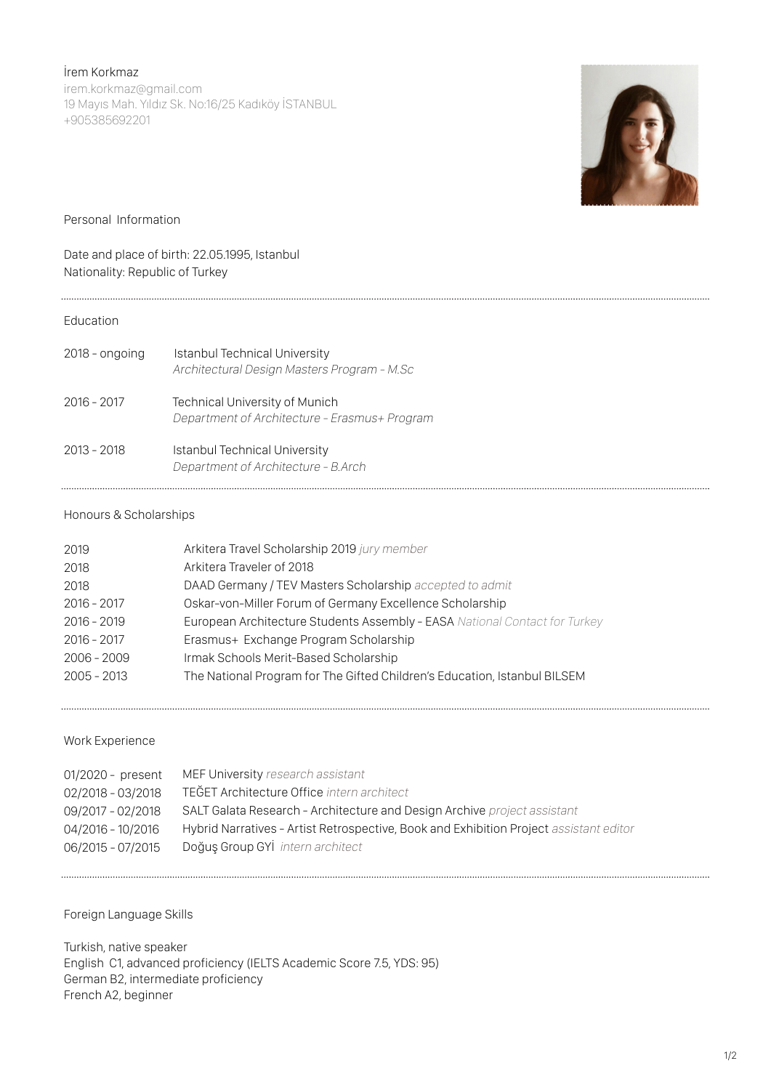İrem Korkmaz

irem.korkmaz@gmail.com 19 Mayıs Mah. Yıldız Sk. No:16/25 Kadıköy İSTANBUL +905385692201



Personal Information

# Date and place of birth: 22.05.1995, Istanbul Nationality: Republic of Turkey

### Education

| 2018 - ongoing | <b>Istanbul Technical University</b><br>Architectural Design Masters Program - M.Sc    |
|----------------|----------------------------------------------------------------------------------------|
| $2016 - 2017$  | <b>Technical University of Munich</b><br>Department of Architecture - Erasmus+ Program |
| $2013 - 2018$  | <b>Istanbul Technical University</b><br>Department of Architecture - B.Arch            |

### Honours & Scholarships

| 2019          | Arkitera Travel Scholarship 2019 jury member                               |
|---------------|----------------------------------------------------------------------------|
| 2018          | Arkitera Traveler of 2018                                                  |
| 2018          | DAAD Germany / TEV Masters Scholarship accepted to admit                   |
| $2016 - 2017$ | Oskar-von-Miller Forum of Germany Excellence Scholarship                   |
| $2016 - 2019$ | European Architecture Students Assembly - EASA National Contact for Turkey |
| $2016 - 2017$ | Erasmus+ Exchange Program Scholarship                                      |
| $2006 - 2009$ | Irmak Schools Merit-Based Scholarship                                      |
| $2005 - 2013$ | The National Program for The Gifted Children's Education, Istanbul BILSEM  |

#### Work Experience

| MEF University research assistant                                                      |
|----------------------------------------------------------------------------------------|
| TEĞET Architecture Office intern architect                                             |
| SALT Galata Research - Architecture and Design Archive project assistant               |
| Hybrid Narratives - Artist Retrospective, Book and Exhibition Project assistant editor |
| Doğuş Group GYI intern architect                                                       |
|                                                                                        |

Foreign Language Skills

Turkish, native speaker English C1, advanced proficiency (IELTS Academic Score 7.5, YDS: 95) German B2, intermediate proficiency French A2, beginner